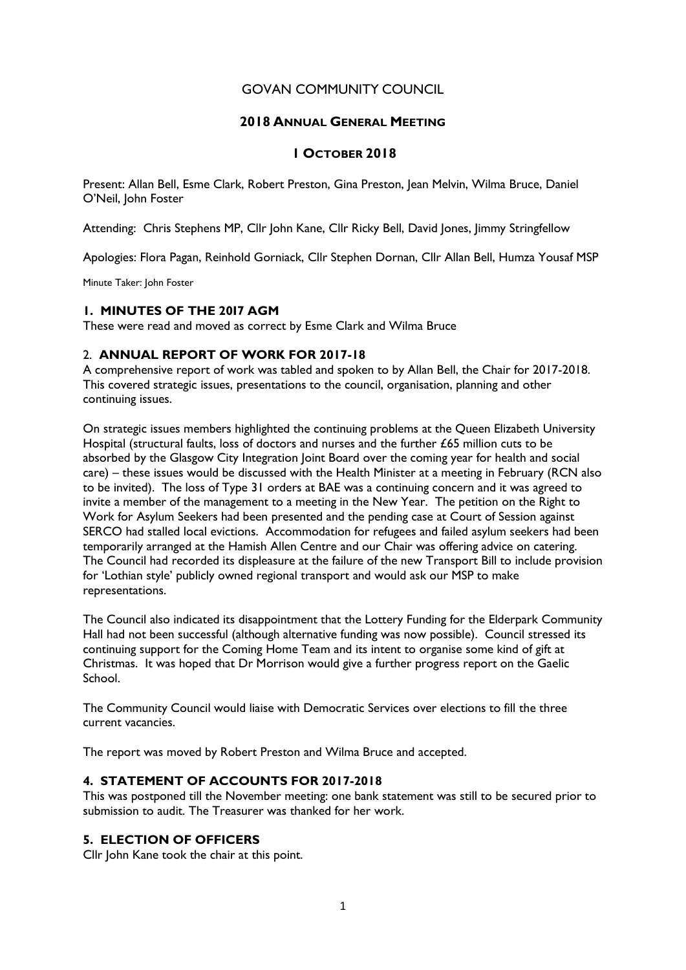# GOVAN COMMUNITY COUNCIL

# 2018 ANNUAL GENERAL MEETING

## 1 OCTOBER 2018

Present: Allan Bell, Esme Clark, Robert Preston, Gina Preston, Jean Melvin, Wilma Bruce, Daniel O'Neil, John Foster

Attending: Chris Stephens MP, Cllr John Kane, Cllr Ricky Bell, David Jones, Jimmy Stringfellow

Apologies: Flora Pagan, Reinhold Gorniack, Cllr Stephen Dornan, Cllr Allan Bell, Humza Yousaf MSP

Minute Taker: John Foster

### 1. MINUTES OF THE 20I7 AGM

These were read and moved as correct by Esme Clark and Wilma Bruce

### 2. ANNUAL REPORT OF WORK FOR 2017-18

A comprehensive report of work was tabled and spoken to by Allan Bell, the Chair for 2017-2018. This covered strategic issues, presentations to the council, organisation, planning and other continuing issues.

On strategic issues members highlighted the continuing problems at the Queen Elizabeth University Hospital (structural faults, loss of doctors and nurses and the further £65 million cuts to be absorbed by the Glasgow City Integration Joint Board over the coming year for health and social care) – these issues would be discussed with the Health Minister at a meeting in February (RCN also to be invited). The loss of Type 31 orders at BAE was a continuing concern and it was agreed to invite a member of the management to a meeting in the New Year. The petition on the Right to Work for Asylum Seekers had been presented and the pending case at Court of Session against SERCO had stalled local evictions. Accommodation for refugees and failed asylum seekers had been temporarily arranged at the Hamish Allen Centre and our Chair was offering advice on catering. The Council had recorded its displeasure at the failure of the new Transport Bill to include provision for 'Lothian style' publicly owned regional transport and would ask our MSP to make representations.

The Council also indicated its disappointment that the Lottery Funding for the Elderpark Community Hall had not been successful (although alternative funding was now possible). Council stressed its continuing support for the Coming Home Team and its intent to organise some kind of gift at Christmas. It was hoped that Dr Morrison would give a further progress report on the Gaelic School.

The Community Council would liaise with Democratic Services over elections to fill the three current vacancies.

The report was moved by Robert Preston and Wilma Bruce and accepted.

### 4. STATEMENT OF ACCOUNTS FOR 2017-2018

This was postponed till the November meeting: one bank statement was still to be secured prior to submission to audit. The Treasurer was thanked for her work.

## 5. ELECTION OF OFFICERS

Cllr John Kane took the chair at this point.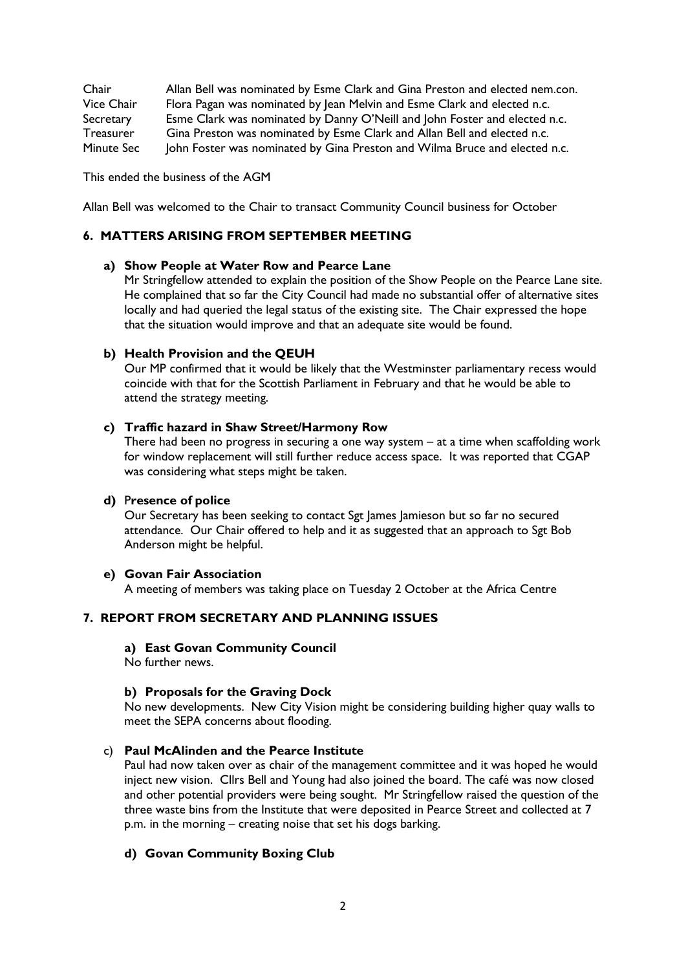Chair Allan Bell was nominated by Esme Clark and Gina Preston and elected nem.con. Vice Chair Flora Pagan was nominated by Jean Melvin and Esme Clark and elected n.c. Secretary Esme Clark was nominated by Danny O'Neill and John Foster and elected n.c. Treasurer Gina Preston was nominated by Esme Clark and Allan Bell and elected n.c.<br>Minute Secupion Foster was nominated by Gina Preston and Wilma Bruce and elected John Foster was nominated by Gina Preston and Wilma Bruce and elected n.c.

This ended the business of the AGM

Allan Bell was welcomed to the Chair to transact Community Council business for October

### 6. MATTERS ARISING FROM SEPTEMBER MEETING

#### a) Show People at Water Row and Pearce Lane

Mr Stringfellow attended to explain the position of the Show People on the Pearce Lane site. He complained that so far the City Council had made no substantial offer of alternative sites locally and had queried the legal status of the existing site. The Chair expressed the hope that the situation would improve and that an adequate site would be found.

#### b) Health Provision and the QEUH

Our MP confirmed that it would be likely that the Westminster parliamentary recess would coincide with that for the Scottish Parliament in February and that he would be able to attend the strategy meeting.

#### c) Traffic hazard in Shaw Street/Harmony Row

There had been no progress in securing a one way system – at a time when scaffolding work for window replacement will still further reduce access space. It was reported that CGAP was considering what steps might be taken.

### d) Presence of police

Our Secretary has been seeking to contact Sgt James Jamieson but so far no secured attendance. Our Chair offered to help and it as suggested that an approach to Sgt Bob Anderson might be helpful.

#### e) Govan Fair Association

A meeting of members was taking place on Tuesday 2 October at the Africa Centre

### 7. REPORT FROM SECRETARY AND PLANNING ISSUES

### a) East Govan Community Council

No further news.

### b) Proposals for the Graving Dock

No new developments. New City Vision might be considering building higher quay walls to meet the SEPA concerns about flooding.

# c) Paul McAlinden and the Pearce Institute

Paul had now taken over as chair of the management committee and it was hoped he would inject new vision. Cllrs Bell and Young had also joined the board. The café was now closed and other potential providers were being sought. Mr Stringfellow raised the question of the three waste bins from the Institute that were deposited in Pearce Street and collected at 7 p.m. in the morning – creating noise that set his dogs barking.

## d) Govan Community Boxing Club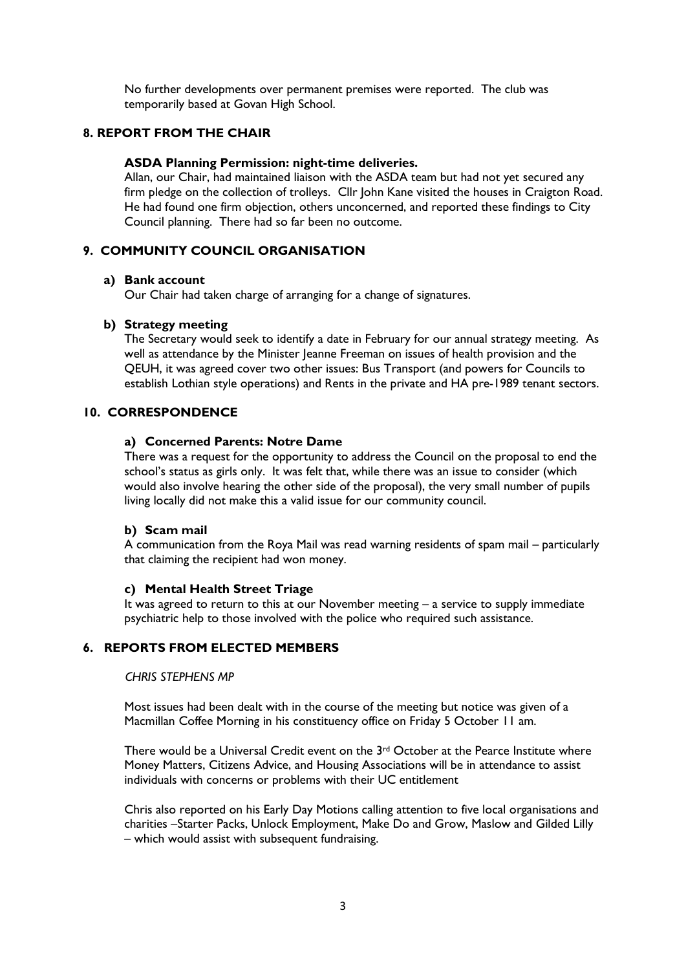No further developments over permanent premises were reported. The club was temporarily based at Govan High School.

# 8. REPORT FROM THE CHAIR

### ASDA Planning Permission: night-time deliveries.

Allan, our Chair, had maintained liaison with the ASDA team but had not yet secured any firm pledge on the collection of trolleys. Cllr John Kane visited the houses in Craigton Road. He had found one firm objection, others unconcerned, and reported these findings to City Council planning. There had so far been no outcome.

# 9. COMMUNITY COUNCIL ORGANISATION

### a) Bank account

Our Chair had taken charge of arranging for a change of signatures.

## b) Strategy meeting

The Secretary would seek to identify a date in February for our annual strategy meeting. As well as attendance by the Minister Jeanne Freeman on issues of health provision and the QEUH, it was agreed cover two other issues: Bus Transport (and powers for Councils to establish Lothian style operations) and Rents in the private and HA pre-1989 tenant sectors.

# 10. CORRESPONDENCE

### a) Concerned Parents: Notre Dame

There was a request for the opportunity to address the Council on the proposal to end the school's status as girls only. It was felt that, while there was an issue to consider (which would also involve hearing the other side of the proposal), the very small number of pupils living locally did not make this a valid issue for our community council.

### b) Scam mail

A communication from the Roya Mail was read warning residents of spam mail – particularly that claiming the recipient had won money.

### c) Mental Health Street Triage

It was agreed to return to this at our November meeting – a service to supply immediate psychiatric help to those involved with the police who required such assistance.

# 6. REPORTS FROM ELECTED MEMBERS

### CHRIS STEPHENS MP

Most issues had been dealt with in the course of the meeting but notice was given of a Macmillan Coffee Morning in his constituency office on Friday 5 October 11 am.

There would be a Universal Credit event on the  $3<sup>rd</sup>$  October at the Pearce Institute where Money Matters, Citizens Advice, and Housing Associations will be in attendance to assist individuals with concerns or problems with their UC entitlement

Chris also reported on his Early Day Motions calling attention to five local organisations and charities –Starter Packs, Unlock Employment, Make Do and Grow, Maslow and Gilded Lilly – which would assist with subsequent fundraising.